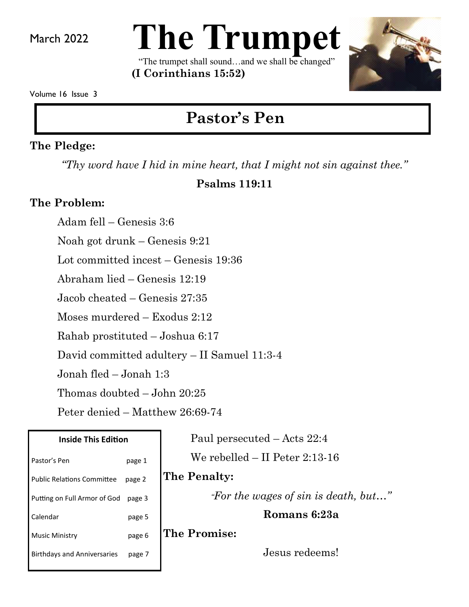March 2022



"The trumpet shall sound…and we shall be changed" **(I Corinthians 15:52)** 



Volume 16 Issue 3

# **Pastor's Pen**

#### **The Pledge:**

*"Thy word have I hid in mine heart, that I might not sin against thee."*

#### **Psalms 119:11**

#### **The Problem:**

Adam fell – Genesis 3:6 Noah got drunk – Genesis 9:21 Lot committed incest – Genesis 19:36 Abraham lied – Genesis 12:19 Jacob cheated – Genesis 27:35 Moses murdered – Exodus 2:12 Rahab prostituted – Joshua 6:17 David committed adultery – II Samuel 11:3-4 Jonah fled – Jonah 1:3 Thomas doubted – John 20:25 Peter denied – Matthew 26:69-74

| <b>Inside This Edition</b>         |        |
|------------------------------------|--------|
| Pastor's Pen                       | page 1 |
| <b>Public Relations Committee</b>  | page 2 |
| Putting on Full Armor of God       | page 3 |
| Calendar                           | page 5 |
| <b>Music Ministry</b>              | page 6 |
| <b>Birthdays and Anniversaries</b> | page 7 |
|                                    |        |

Paul persecuted – Acts 22:4

We rebelled – II Peter 2:13-16

### **The Penalty:**

*"For the wages of sin is death, but…"*

**Romans 6:23a**

**The Promise:**

Jesus redeems!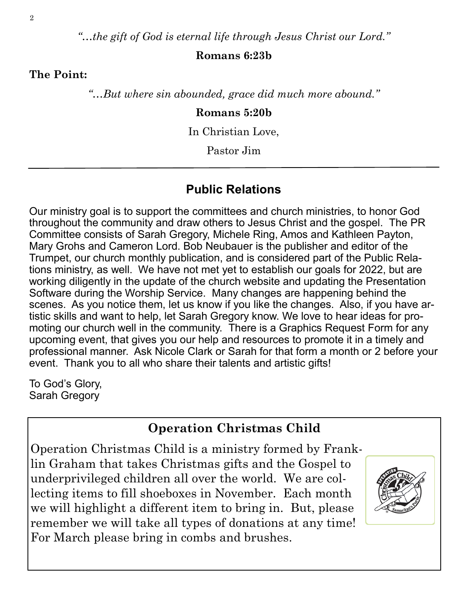*"…the gift of God is eternal life through Jesus Christ our Lord."*

#### **Romans 6:23b**

**The Point:**

*"…But where sin abounded, grace did much more abound."*

#### **Romans 5:20b**

In Christian Love,

Pastor Jim

#### **Public Relations**

Our ministry goal is to support the committees and church ministries, to honor God throughout the community and draw others to Jesus Christ and the gospel. The PR Committee consists of Sarah Gregory, Michele Ring, Amos and Kathleen Payton, Mary Grohs and Cameron Lord. Bob Neubauer is the publisher and editor of the Trumpet, our church monthly publication, and is considered part of the Public Relations ministry, as well. We have not met yet to establish our goals for 2022, but are working diligently in the update of the church website and updating the Presentation Software during the Worship Service. Many changes are happening behind the scenes. As you notice them, let us know if you like the changes. Also, if you have artistic skills and want to help, let Sarah Gregory know. We love to hear ideas for promoting our church well in the community. There is a Graphics Request Form for any upcoming event, that gives you our help and resources to promote it in a timely and professional manner. Ask Nicole Clark or Sarah for that form a month or 2 before your event. Thank you to all who share their talents and artistic gifts!

To God's Glory, Sarah Gregory

#### **Operation Christmas Child**

Operation Christmas Child is a ministry formed by Franklin Graham that takes Christmas gifts and the Gospel to underprivileged children all over the world. We are collecting items to fill shoeboxes in November. Each month we will highlight a different item to bring in. But, please remember we will take all types of donations at any time! For March please bring in combs and brushes.

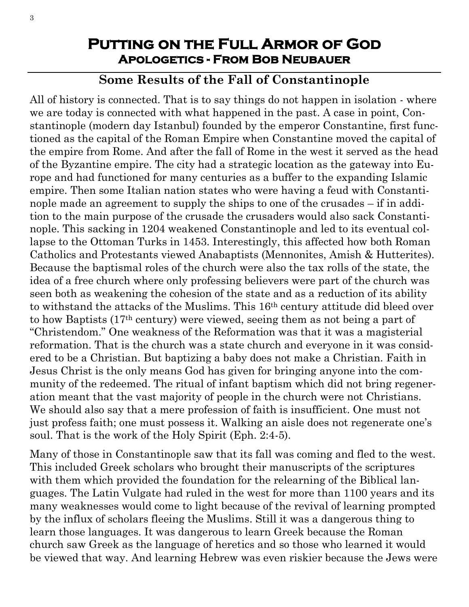### **Putting on the Full Armor of God Apologetics - From Bob Neubauer**

### **Some Results of the Fall of Constantinople**

All of history is connected. That is to say things do not happen in isolation - where we are today is connected with what happened in the past. A case in point, Constantinople (modern day Istanbul) founded by the emperor Constantine, first functioned as the capital of the Roman Empire when Constantine moved the capital of the empire from Rome. And after the fall of Rome in the west it served as the head of the Byzantine empire. The city had a strategic location as the gateway into Europe and had functioned for many centuries as a buffer to the expanding Islamic empire. Then some Italian nation states who were having a feud with Constantinople made an agreement to supply the ships to one of the crusades – if in addition to the main purpose of the crusade the crusaders would also sack Constantinople. This sacking in 1204 weakened Constantinople and led to its eventual collapse to the Ottoman Turks in 1453. Interestingly, this affected how both Roman Catholics and Protestants viewed Anabaptists (Mennonites, Amish & Hutterites). Because the baptismal roles of the church were also the tax rolls of the state, the idea of a free church where only professing believers were part of the church was seen both as weakening the cohesion of the state and as a reduction of its ability to withstand the attacks of the Muslims. This 16th century attitude did bleed over to how Baptists (17th century) were viewed, seeing them as not being a part of "Christendom." One weakness of the Reformation was that it was a magisterial reformation. That is the church was a state church and everyone in it was considered to be a Christian. But baptizing a baby does not make a Christian. Faith in Jesus Christ is the only means God has given for bringing anyone into the community of the redeemed. The ritual of infant baptism which did not bring regeneration meant that the vast majority of people in the church were not Christians. We should also say that a mere profession of faith is insufficient. One must not just profess faith; one must possess it. Walking an aisle does not regenerate one's soul. That is the work of the Holy Spirit (Eph. 2:4-5).

Many of those in Constantinople saw that its fall was coming and fled to the west. This included Greek scholars who brought their manuscripts of the scriptures with them which provided the foundation for the relearning of the Biblical languages. The Latin Vulgate had ruled in the west for more than 1100 years and its many weaknesses would come to light because of the revival of learning prompted by the influx of scholars fleeing the Muslims. Still it was a dangerous thing to learn those languages. It was dangerous to learn Greek because the Roman church saw Greek as the language of heretics and so those who learned it would be viewed that way. And learning Hebrew was even riskier because the Jews were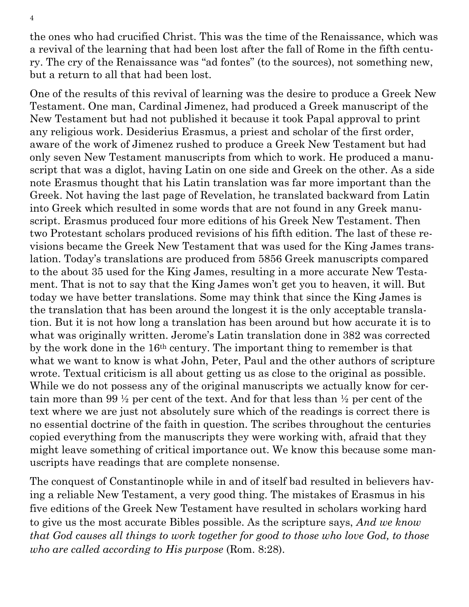the ones who had crucified Christ. This was the time of the Renaissance, which was a revival of the learning that had been lost after the fall of Rome in the fifth century. The cry of the Renaissance was "ad fontes" (to the sources), not something new, but a return to all that had been lost.

One of the results of this revival of learning was the desire to produce a Greek New Testament. One man, Cardinal Jimenez, had produced a Greek manuscript of the New Testament but had not published it because it took Papal approval to print any religious work. Desiderius Erasmus, a priest and scholar of the first order, aware of the work of Jimenez rushed to produce a Greek New Testament but had only seven New Testament manuscripts from which to work. He produced a manuscript that was a diglot, having Latin on one side and Greek on the other. As a side note Erasmus thought that his Latin translation was far more important than the Greek. Not having the last page of Revelation, he translated backward from Latin into Greek which resulted in some words that are not found in any Greek manuscript. Erasmus produced four more editions of his Greek New Testament. Then two Protestant scholars produced revisions of his fifth edition. The last of these revisions became the Greek New Testament that was used for the King James translation. Today's translations are produced from 5856 Greek manuscripts compared to the about 35 used for the King James, resulting in a more accurate New Testament. That is not to say that the King James won't get you to heaven, it will. But today we have better translations. Some may think that since the King James is the translation that has been around the longest it is the only acceptable translation. But it is not how long a translation has been around but how accurate it is to what was originally written. Jerome's Latin translation done in 382 was corrected by the work done in the 16th century. The important thing to remember is that what we want to know is what John, Peter, Paul and the other authors of scripture wrote. Textual criticism is all about getting us as close to the original as possible. While we do not possess any of the original manuscripts we actually know for certain more than 99 ½ per cent of the text. And for that less than ½ per cent of the text where we are just not absolutely sure which of the readings is correct there is no essential doctrine of the faith in question. The scribes throughout the centuries copied everything from the manuscripts they were working with, afraid that they might leave something of critical importance out. We know this because some manuscripts have readings that are complete nonsense.

The conquest of Constantinople while in and of itself bad resulted in believers having a reliable New Testament, a very good thing. The mistakes of Erasmus in his five editions of the Greek New Testament have resulted in scholars working hard to give us the most accurate Bibles possible. As the scripture says, *And we know that God causes all things to work together for good to those who love God, to those who are called according to His purpose* (Rom. 8:28).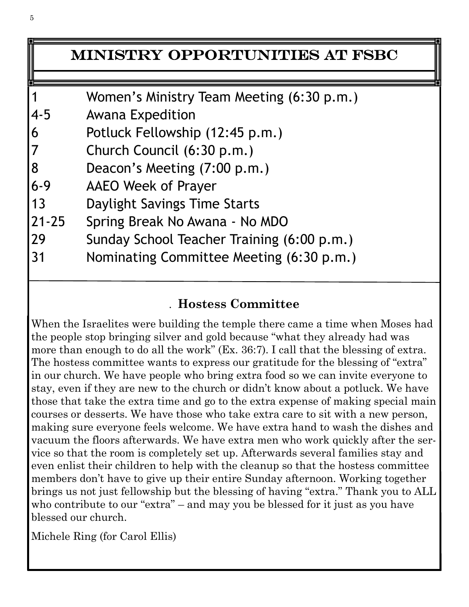## Ministry Opportunities at FSBC

- 1 Women's Ministry Team Meeting (6:30 p.m.)
- 4-5 Awana Expedition
- 6 Potluck Fellowship (12:45 p.m.)
- 7 Church Council (6:30 p.m.)
- 8 Deacon's Meeting (7:00 p.m.)
- 6-9 AAEO Week of Prayer
- 13 Daylight Savings Time Starts
- 21-25 Spring Break No Awana No MDO
- 29 Sunday School Teacher Training (6:00 p.m.)
- 31 Nominating Committee Meeting (6:30 p.m.)

## . **Hostess Committee**

When the Israelites were building the temple there came a time when Moses had the people stop bringing silver and gold because "what they already had was more than enough to do all the work" (Ex. 36:7). I call that the blessing of extra. The hostess committee wants to express our gratitude for the blessing of "extra" in our church. We have people who bring extra food so we can invite everyone to stay, even if they are new to the church or didn't know about a potluck. We have those that take the extra time and go to the extra expense of making special main courses or desserts. We have those who take extra care to sit with a new person, making sure everyone feels welcome. We have extra hand to wash the dishes and vacuum the floors afterwards. We have extra men who work quickly after the service so that the room is completely set up. Afterwards several families stay and even enlist their children to help with the cleanup so that the hostess committee members don't have to give up their entire Sunday afternoon. Working together brings us not just fellowship but the blessing of having "extra." Thank you to ALL who contribute to our "extra" – and may you be blessed for it just as you have blessed our church.

Michele Ring (for Carol Ellis)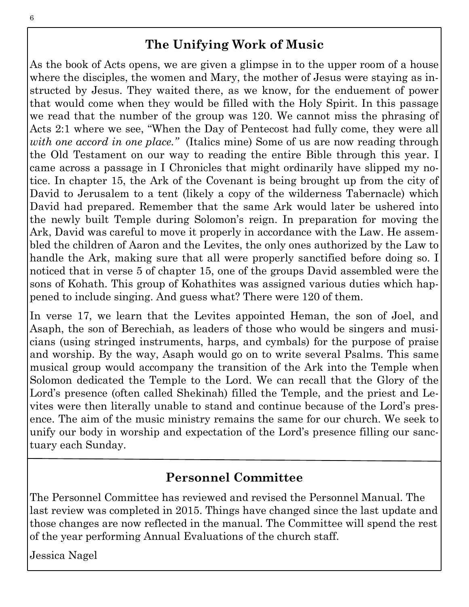## **The Unifying Work of Music**

As the book of Acts opens, we are given a glimpse in to the upper room of a house where the disciples, the women and Mary, the mother of Jesus were staying as instructed by Jesus. They waited there, as we know, for the enduement of power that would come when they would be filled with the Holy Spirit. In this passage we read that the number of the group was 120. We cannot miss the phrasing of Acts 2:1 where we see, "When the Day of Pentecost had fully come, they were all *with one accord in one place."* (Italics mine) Some of us are now reading through the Old Testament on our way to reading the entire Bible through this year. I came across a passage in I Chronicles that might ordinarily have slipped my notice. In chapter 15, the Ark of the Covenant is being brought up from the city of David to Jerusalem to a tent (likely a copy of the wilderness Tabernacle) which David had prepared. Remember that the same Ark would later be ushered into the newly built Temple during Solomon's reign. In preparation for moving the Ark, David was careful to move it properly in accordance with the Law. He assembled the children of Aaron and the Levites, the only ones authorized by the Law to handle the Ark, making sure that all were properly sanctified before doing so. I noticed that in verse 5 of chapter 15, one of the groups David assembled were the sons of Kohath. This group of Kohathites was assigned various duties which happened to include singing. And guess what? There were 120 of them.

In verse 17, we learn that the Levites appointed Heman, the son of Joel, and Asaph, the son of Berechiah, as leaders of those who would be singers and musicians (using stringed instruments, harps, and cymbals) for the purpose of praise and worship. By the way, Asaph would go on to write several Psalms. This same musical group would accompany the transition of the Ark into the Temple when Solomon dedicated the Temple to the Lord. We can recall that the Glory of the Lord's presence (often called Shekinah) filled the Temple, and the priest and Levites were then literally unable to stand and continue because of the Lord's presence. The aim of the music ministry remains the same for our church. We seek to unify our body in worship and expectation of the Lord's presence filling our sanctuary each Sunday.

### **Personnel Committee**

The Personnel Committee has reviewed and revised the Personnel Manual. The last review was completed in 2015. Things have changed since the last update and those changes are now reflected in the manual. The Committee will spend the rest of the year performing Annual Evaluations of the church staff.

Jessica Nagel